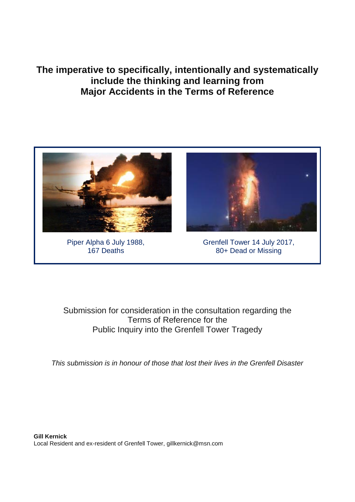**The imperative to specifically, intentionally and systematically include the thinking and learning from Major Accidents in the Terms of Reference**



Piper Alpha 6 July 1988, 167 Deaths

Grenfell Tower 14 July 2017, 80+ Dead or Missing

Submission for consideration in the consultation regarding the Terms of Reference for the Public Inquiry into the Grenfell Tower Tragedy

*This submission is in honour of those that lost their lives in the Grenfell Disaster*

**Gill Kernick** Local Resident and ex-resident of Grenfell Tower, gillkernick@msn.com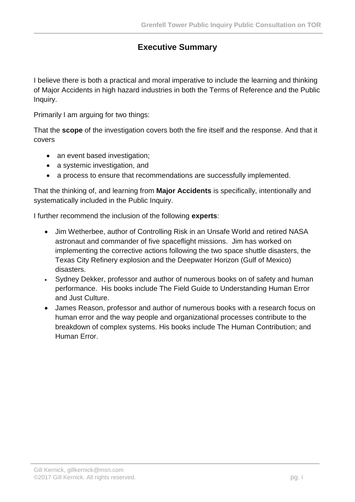# **Executive Summary**

I believe there is both a practical and moral imperative to include the learning and thinking of Major Accidents in high hazard industries in both the Terms of Reference and the Public Inquiry.

Primarily I am arguing for two things:

That the **scope** of the investigation covers both the fire itself and the response. And that it covers

- an event based investigation:
- a systemic investigation, and
- a process to ensure that recommendations are successfully implemented.

That the thinking of, and learning from **Major Accidents** is specifically, intentionally and systematically included in the Public Inquiry.

I further recommend the inclusion of the following **experts**:

- Jim Wetherbee, author of Controlling Risk in an Unsafe World and retired NASA astronaut and commander of five spaceflight missions. Jim has worked on implementing the corrective actions following the two space shuttle disasters, the Texas City Refinery explosion and the Deepwater Horizon (Gulf of Mexico) disasters.
- Sydney Dekker, professor and author of numerous books on of safety and human performance. His books include The Field Guide to Understanding Human Error and Just Culture.
- James Reason, professor and author of numerous books with a research focus on human error and the way people and organizational processes contribute to the breakdown of complex systems. His books include The Human Contribution; and Human Error.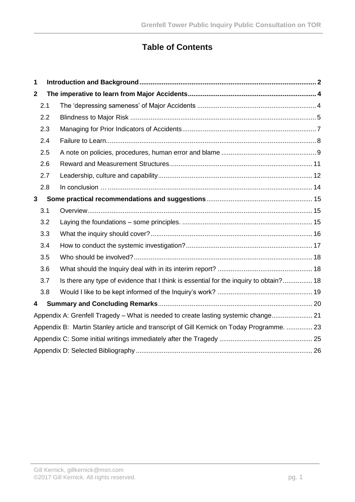# **Table of Contents**

| 1                                                                                         |                                                                                    |                                                                                       |  |  |  |  |
|-------------------------------------------------------------------------------------------|------------------------------------------------------------------------------------|---------------------------------------------------------------------------------------|--|--|--|--|
| $\mathbf{2}$                                                                              |                                                                                    |                                                                                       |  |  |  |  |
|                                                                                           | 2.1                                                                                |                                                                                       |  |  |  |  |
|                                                                                           | 2.2                                                                                |                                                                                       |  |  |  |  |
|                                                                                           | 2.3                                                                                |                                                                                       |  |  |  |  |
|                                                                                           | 2.4                                                                                |                                                                                       |  |  |  |  |
|                                                                                           | 2.5                                                                                |                                                                                       |  |  |  |  |
|                                                                                           | 2.6                                                                                |                                                                                       |  |  |  |  |
|                                                                                           | 2.7                                                                                |                                                                                       |  |  |  |  |
|                                                                                           | 2.8                                                                                |                                                                                       |  |  |  |  |
| 3                                                                                         |                                                                                    |                                                                                       |  |  |  |  |
|                                                                                           | 3.1                                                                                |                                                                                       |  |  |  |  |
|                                                                                           | 3.2                                                                                |                                                                                       |  |  |  |  |
|                                                                                           | 3.3                                                                                |                                                                                       |  |  |  |  |
|                                                                                           | 3.4                                                                                |                                                                                       |  |  |  |  |
|                                                                                           | 3.5                                                                                |                                                                                       |  |  |  |  |
|                                                                                           | 3.6                                                                                |                                                                                       |  |  |  |  |
|                                                                                           | 3.7                                                                                | Is there any type of evidence that I think is essential for the inquiry to obtain? 18 |  |  |  |  |
|                                                                                           | 3.8                                                                                |                                                                                       |  |  |  |  |
| 4                                                                                         |                                                                                    |                                                                                       |  |  |  |  |
|                                                                                           | Appendix A: Grenfell Tragedy - What is needed to create lasting systemic change 21 |                                                                                       |  |  |  |  |
| Appendix B: Martin Stanley article and transcript of Gill Kernick on Today Programme.  23 |                                                                                    |                                                                                       |  |  |  |  |
|                                                                                           |                                                                                    |                                                                                       |  |  |  |  |
|                                                                                           |                                                                                    |                                                                                       |  |  |  |  |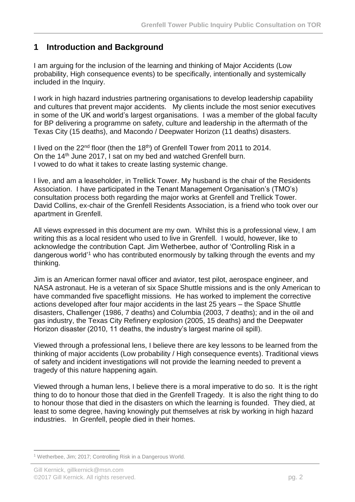### <span id="page-3-0"></span>**1 Introduction and Background**

I am arguing for the inclusion of the learning and thinking of Major Accidents (Low probability, High consequence events) to be specifically, intentionally and systemically included in the Inquiry.

I work in high hazard industries partnering organisations to develop leadership capability and cultures that prevent major accidents. My clients include the most senior executives in some of the UK and world's largest organisations. I was a member of the global faculty for BP delivering a programme on safety, culture and leadership in the aftermath of the Texas City (15 deaths), and Macondo / Deepwater Horizon (11 deaths) disasters.

I lived on the  $22<sup>nd</sup>$  floor (then the 18<sup>th</sup>) of Grenfell Tower from 2011 to 2014. On the 14th June 2017, I sat on my bed and watched Grenfell burn. I vowed to do what it takes to create lasting systemic change.

I live, and am a leaseholder, in Trellick Tower. My husband is the chair of the Residents Association. I have participated in the Tenant Management Organisation's (TMO's) consultation process both regarding the major works at Grenfell and Trellick Tower. David Collins, ex-chair of the Grenfell Residents Association, is a friend who took over our apartment in Grenfell.

All views expressed in this document are my own. Whilst this is a professional view, I am writing this as a local resident who used to live in Grenfell. I would, however, like to acknowledge the contribution Capt. Jim Wetherbee, author of 'Controlling Risk in a dangerous world'<sup>1</sup> who has contributed enormously by talking through the events and my thinking.

Jim is an American former naval officer and aviator, test pilot, aerospace engineer, and NASA astronaut. He is a veteran of six Space Shuttle missions and is the only American to have commanded five spaceflight missions. He has worked to implement the corrective actions developed after four major accidents in the last 25 years – the Space Shuttle disasters, Challenger (1986, 7 deaths) and Columbia (2003, 7 deaths); and in the oil and gas industry, the Texas City Refinery explosion (2005, 15 deaths) and the Deepwater Horizon disaster (2010, 11 deaths, the industry's largest marine oil spill).

Viewed through a professional lens, I believe there are key lessons to be learned from the thinking of major accidents (Low probability / High consequence events). Traditional views of safety and incident investigations will not provide the learning needed to prevent a tragedy of this nature happening again.

Viewed through a human lens, I believe there is a moral imperative to do so. It is the right thing to do to honour those that died in the Grenfell Tragedy. It is also the right thing to do to honour those that died in the disasters on which the learning is founded. They died, at least to some degree, having knowingly put themselves at risk by working in high hazard industries. In Grenfell, people died in their homes.

<sup>1</sup> <sup>1</sup> Wetherbee, Jim; 2017; Controlling Risk in a Dangerous World.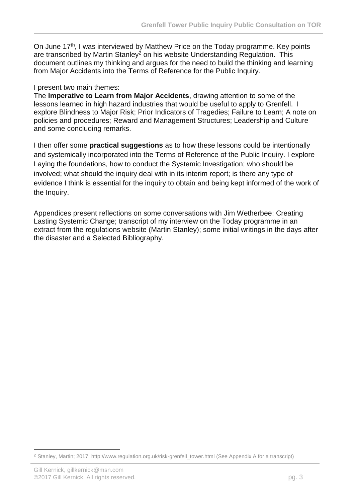On June 17<sup>th</sup>, I was interviewed by Matthew Price on the Today programme. Key points are transcribed by Martin Stanley<sup>2</sup> on his website Understanding Regulation. This document outlines my thinking and argues for the need to build the thinking and learning from Major Accidents into the Terms of Reference for the Public Inquiry.

#### I present two main themes:

The **Imperative to Learn from Major Accidents**, drawing attention to some of the lessons learned in high hazard industries that would be useful to apply to Grenfell. I explore Blindness to Major Risk; Prior Indicators of Tragedies; Failure to Learn; A note on policies and procedures; Reward and Management Structures; Leadership and Culture and some concluding remarks.

I then offer some **practical suggestions** as to how these lessons could be intentionally and systemically incorporated into the Terms of Reference of the Public Inquiry. I explore Laying the foundations, how to conduct the Systemic Investigation; who should be involved; what should the inquiry deal with in its interim report; is there any type of evidence I think is essential for the inquiry to obtain and being kept informed of the work of the Inquiry.

Appendices present reflections on some conversations with Jim Wetherbee: Creating Lasting Systemic Change; transcript of my interview on the Today programme in an extract from the regulations website (Martin Stanley); some initial writings in the days after the disaster and a Selected Bibliography.

1

<sup>&</sup>lt;sup>2</sup> Stanley, Martin; 2017; [http://www.regulation.org.uk/risk-grenfell\\_tower.html](http://www.regulation.org.uk/risk-grenfell_tower.html) (See Appendix A for a transcript)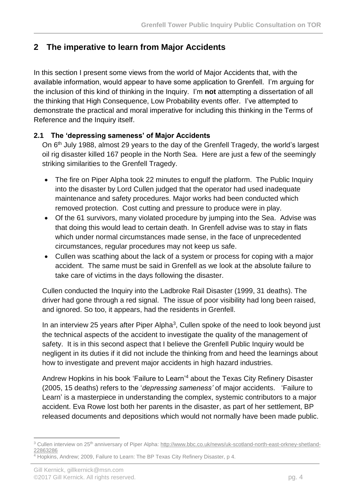# <span id="page-5-0"></span>**2 The imperative to learn from Major Accidents**

In this section I present some views from the world of Major Accidents that, with the available information, would appear to have some application to Grenfell. I'm arguing for the inclusion of this kind of thinking in the Inquiry. I'm **not** attempting a dissertation of all the thinking that High Consequence, Low Probability events offer. I've attempted to demonstrate the practical and moral imperative for including this thinking in the Terms of Reference and the Inquiry itself.

### <span id="page-5-1"></span>**2.1 The 'depressing sameness' of Major Accidents**

On 6th July 1988, almost 29 years to the day of the Grenfell Tragedy, the world's largest oil rig disaster killed 167 people in the North Sea. Here are just a few of the seemingly striking similarities to the Grenfell Tragedy.

- The fire on Piper Alpha took 22 minutes to engulf the platform. The Public Inquiry into the disaster by Lord Cullen judged that the operator had used inadequate maintenance and safety procedures. Major works had been conducted which removed protection. Cost cutting and pressure to produce were in play.
- Of the 61 survivors, many violated procedure by jumping into the Sea. Advise was that doing this would lead to certain death. In Grenfell advise was to stay in flats which under normal circumstances made sense, in the face of unprecedented circumstances, regular procedures may not keep us safe.
- Cullen was scathing about the lack of a system or process for coping with a major accident. The same must be said in Grenfell as we look at the absolute failure to take care of victims in the days following the disaster.

Cullen conducted the Inquiry into the Ladbroke Rail Disaster (1999, 31 deaths). The driver had gone through a red signal. The issue of poor visibility had long been raised, and ignored. So too, it appears, had the residents in Grenfell.

In an interview 25 years after Piper Alpha<sup>3</sup>, Cullen spoke of the need to look beyond just the technical aspects of the accident to investigate the quality of the management of safety. It is in this second aspect that I believe the Grenfell Public Inquiry would be negligent in its duties if it did not include the thinking from and heed the learnings about how to investigate and prevent major accidents in high hazard industries.

Andrew Hopkins in his book 'Failure to Learn' <sup>4</sup> about the Texas City Refinery Disaster (2005, 15 deaths) refers to the '*depressing sameness'* of major accidents. 'Failure to Learn' is a masterpiece in understanding the complex, systemic contributors to a major accident. Eva Rowe lost both her parents in the disaster, as part of her settlement, BP released documents and depositions which would not normally have been made public.

**<sup>.</sup>** <sup>3</sup> Cullen interview on 25<sup>th</sup> anniversary of Piper Alpha: [http://www.bbc.co.uk/news/uk-scotland-north-east-orkney-shetland-](http://www.bbc.co.uk/news/uk-scotland-north-east-orkney-shetland-22863286)[22863286](http://www.bbc.co.uk/news/uk-scotland-north-east-orkney-shetland-22863286)

<sup>4</sup> Hopkins, Andrew; 2009, Failure to Learn: The BP Texas City Refinery Disaster, p 4.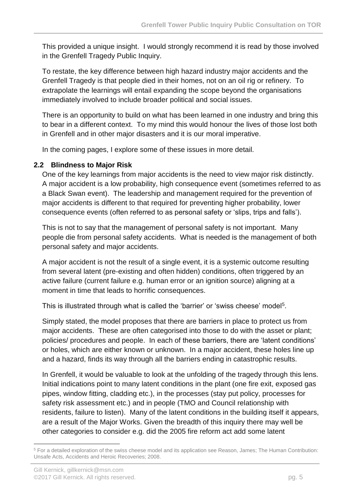This provided a unique insight. I would strongly recommend it is read by those involved in the Grenfell Tragedy Public Inquiry.

To restate, the key difference between high hazard industry major accidents and the Grenfell Tragedy is that people died in their homes, not on an oil rig or refinery. To extrapolate the learnings will entail expanding the scope beyond the organisations immediately involved to include broader political and social issues.

There is an opportunity to build on what has been learned in one industry and bring this to bear in a different context. To my mind this would honour the lives of those lost both in Grenfell and in other major disasters and it is our moral imperative.

In the coming pages, I explore some of these issues in more detail.

#### <span id="page-6-0"></span>**2.2 Blindness to Major Risk**

One of the key learnings from major accidents is the need to view major risk distinctly. A major accident is a low probability, high consequence event (sometimes referred to as a Black Swan event). The leadership and management required for the prevention of major accidents is different to that required for preventing higher probability, lower consequence events (often referred to as personal safety or 'slips, trips and falls').

This is not to say that the management of personal safety is not important. Many people die from personal safety accidents. What is needed is the management of both personal safety and major accidents.

A major accident is not the result of a single event, it is a systemic outcome resulting from several latent (pre-existing and often hidden) conditions, often triggered by an active failure (current failure e.g. human error or an ignition source) aligning at a moment in time that leads to horrific consequences.

This is illustrated through what is called the 'barrier' or 'swiss cheese' model<sup>5</sup>.

Simply stated, the model proposes that there are barriers in place to protect us from major accidents. These are often categorised into those to do with the asset or plant; policies/ procedures and people. In each of these barriers, there are 'latent conditions' or holes, which are either known or unknown. In a major accident, these holes line up and a hazard, finds its way through all the barriers ending in catastrophic results.

In Grenfell, it would be valuable to look at the unfolding of the tragedy through this lens. Initial indications point to many latent conditions in the plant (one fire exit, exposed gas pipes, window fitting, cladding etc.), in the processes (stay put policy, processes for safety risk assessment etc.) and in people (TMO and Council relationship with residents, failure to listen). Many of the latent conditions in the building itself it appears, are a result of the Major Works. Given the breadth of this inquiry there may well be other categories to consider e.g. did the 2005 fire reform act add some latent

**<sup>.</sup>** <sup>5</sup> For a detailed exploration of the swiss cheese model and its application see Reason, James; The Human Contribution: Unsafe Acts, Accidents and Heroic Recoveries; 2008.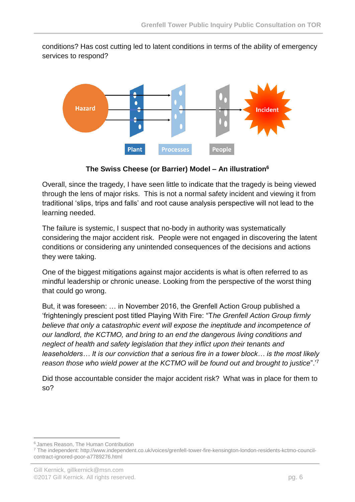conditions? Has cost cutting led to latent conditions in terms of the ability of emergency services to respond?



**The Swiss Cheese (or Barrier) Model – An illustration<sup>6</sup>**

Overall, since the tragedy, I have seen little to indicate that the tragedy is being viewed through the lens of major risks. This is not a normal safety incident and viewing it from traditional 'slips, trips and falls' and root cause analysis perspective will not lead to the learning needed.

The failure is systemic, I suspect that no-body in authority was systematically considering the major accident risk. People were not engaged in discovering the latent conditions or considering any unintended consequences of the decisions and actions they were taking.

One of the biggest mitigations against major accidents is what is often referred to as mindful leadership or chronic unease. Looking from the perspective of the worst thing that could go wrong.

But, it was foreseen: … in November 2016, the Grenfell Action Group published a 'frighteningly prescient post titled Playing With Fire: "T*he Grenfell Action Group firmly believe that only a catastrophic event will expose the ineptitude and incompetence of our landlord, the KCTMO, and bring to an end the dangerous living conditions and neglect of health and safety legislation that they inflict upon their tenants and leaseholders… It is our conviction that a serious fire in a tower block… is the most likely reason those who wield power at the KCTMO will be found out and brought to justice*".'<sup>7</sup>

Did those accountable consider the major accident risk? What was in place for them to so?

**<sup>.</sup>** <sup>6</sup> James Reason, The Human Contribution

<sup>7</sup> The independent: http://www.independent.co.uk/voices/grenfell-tower-fire-kensington-london-residents-kctmo-councilcontract-ignored-poor-a7789276.html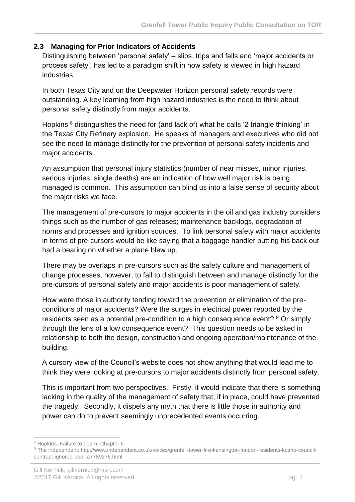#### <span id="page-8-0"></span>**2.3 Managing for Prior Indicators of Accidents**

Distinguishing between 'personal safety' – slips, trips and falls and 'major accidents or process safety', has led to a paradigm shift in how safety is viewed in high hazard industries.

In both Texas City and on the Deepwater Horizon personal safety records were outstanding. A key learning from high hazard industries is the need to think about personal safety distinctly from major accidents.

Hopkins <sup>8</sup> distinguishes the need for (and lack of) what he calls '2 triangle thinking' in the Texas City Refinery explosion. He speaks of managers and executives who did not see the need to manage distinctly for the prevention of personal safety incidents and major accidents.

An assumption that personal injury statistics (number of near misses, minor injuries, serious injuries, single deaths) are an indication of how well major risk is being managed is common. This assumption can blind us into a false sense of security about the major risks we face.

The management of pre-cursors to major accidents in the oil and gas industry considers things such as the number of gas releases; maintenance backlogs, degradation of norms and processes and ignition sources. To link personal safety with major accidents in terms of pre-cursors would be like saying that a baggage handler putting his back out had a bearing on whether a plane blew up.

There may be overlaps in pre-cursors such as the safety culture and management of change processes, however, to fail to distinguish between and manage distinctly for the pre-cursors of personal safety and major accidents is poor management of safety.

How were those in authority tending toward the prevention or elimination of the preconditions of major accidents? Were the surges in electrical power reported by the residents seen as a potential pre-condition to a high consequence event? <sup>9</sup> Or simply through the lens of a low consequence event? This question needs to be asked in relationship to both the design, construction and ongoing operation/maintenance of the building.

A cursory view of the Council's website does not show anything that would lead me to think they were looking at pre-cursors to major accidents distinctly from personal safety.

This is important from two perspectives. Firstly, it would indicate that there is something lacking in the quality of the management of safety that, if in place, could have prevented the tragedy. Secondly, it dispels any myth that there is little those in authority and power can do to prevent seemingly unprecedented events occurring.

**<sup>.</sup>** <sup>8</sup> Hopkins, Failure to Learn, Chapter 6

<sup>9</sup> The independent: http://www.independent.co.uk/voices/grenfell-tower-fire-kensington-london-residents-kctmo-councilcontract-ignored-poor-a7789276.html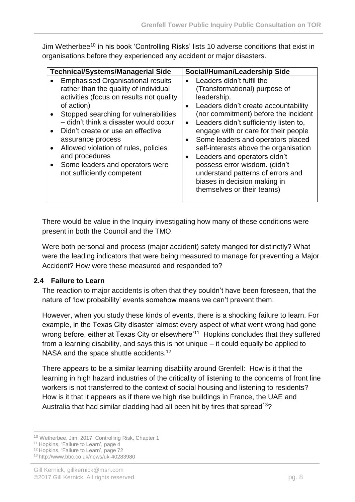Jim Wetherbee<sup>10</sup> in his book 'Controlling Risks' lists 10 adverse conditions that exist in organisations before they experienced any accident or major disasters.

| <b>Technical/Systems/Managerial Side</b>                                                                                                                                                                                                                                                                                                                                                                                        | Social/Human/Leadership Side                                                                                                                                                                                                                                                                                                                                                                                                                                                                                                                                   |
|---------------------------------------------------------------------------------------------------------------------------------------------------------------------------------------------------------------------------------------------------------------------------------------------------------------------------------------------------------------------------------------------------------------------------------|----------------------------------------------------------------------------------------------------------------------------------------------------------------------------------------------------------------------------------------------------------------------------------------------------------------------------------------------------------------------------------------------------------------------------------------------------------------------------------------------------------------------------------------------------------------|
| <b>Emphasised Organisational results</b><br>rather than the quality of individual<br>activities (focus on results not quality<br>of action)<br>Stopped searching for vulnerabilities<br>- didn't think a disaster would occur<br>Didn't create or use an effective<br>assurance process<br>Allowed violation of rules, policies<br>$\bullet$<br>and procedures<br>Some leaders and operators were<br>not sufficiently competent | Leaders didn't fulfil the<br>$\bullet$<br>(Transformational) purpose of<br>leadership.<br>Leaders didn't create accountability<br>$\bullet$<br>(nor commitment) before the incident<br>Leaders didn't sufficiently listen to,<br>$\bullet$<br>engage with or care for their people<br>Some leaders and operators placed<br>$\bullet$<br>self-interests above the organisation<br>Leaders and operators didn't<br>$\bullet$<br>possess error wisdom. (didn't<br>understand patterns of errors and<br>biases in decision making in<br>themselves or their teams) |

There would be value in the Inquiry investigating how many of these conditions were present in both the Council and the TMO.

Were both personal and process (major accident) safety manged for distinctly? What were the leading indicators that were being measured to manage for preventing a Major Accident? How were these measured and responded to?

### <span id="page-9-0"></span>**2.4 Failure to Learn**

The reaction to major accidents is often that they couldn't have been foreseen, that the nature of 'low probability' events somehow means we can't prevent them.

However, when you study these kinds of events, there is a shocking failure to learn. For example, in the Texas City disaster 'almost every aspect of what went wrong had gone wrong before, either at Texas City or elsewhere'<sup>11</sup> Hopkins concludes that they suffered from a learning disability, and says this is not unique – it could equally be applied to NASA and the space shuttle accidents.<sup>12</sup>

There appears to be a similar learning disability around Grenfell: How is it that the learning in high hazard industries of the criticality of listening to the concerns of front line workers is not transferred to the context of social housing and listening to residents? How is it that it appears as if there we high rise buildings in France, the UAE and Australia that had similar cladding had all been hit by fires that spread<sup>13</sup>?

1

<sup>10</sup> Wetherbee, Jim; 2017, Controlling Risk, Chapter 1

<sup>&</sup>lt;sup>11</sup> Hopkins, 'Failure to Learn', page 4

<sup>12</sup> Hopkins, 'Failure to Learn', page 72

<sup>13</sup> http://www.bbc.co.uk/news/uk-40283980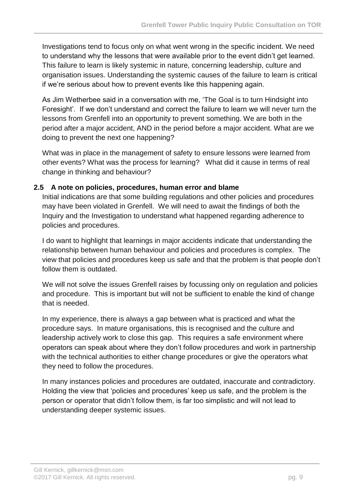Investigations tend to focus only on what went wrong in the specific incident. We need to understand why the lessons that were available prior to the event didn't get learned. This failure to learn is likely systemic in nature, concerning leadership, culture and organisation issues. Understanding the systemic causes of the failure to learn is critical if we're serious about how to prevent events like this happening again.

As Jim Wetherbee said in a conversation with me, 'The Goal is to turn Hindsight into Foresight'. If we don't understand and correct the failure to learn we will never turn the lessons from Grenfell into an opportunity to prevent something. We are both in the period after a major accident, AND in the period before a major accident. What are we doing to prevent the next one happening?

What was in place in the management of safety to ensure lessons were learned from other events? What was the process for learning? What did it cause in terms of real change in thinking and behaviour?

### <span id="page-10-0"></span>**2.5 A note on policies, procedures, human error and blame**

Initial indications are that some building regulations and other policies and procedures may have been violated in Grenfell. We will need to await the findings of both the Inquiry and the Investigation to understand what happened regarding adherence to policies and procedures.

I do want to highlight that learnings in major accidents indicate that understanding the relationship between human behaviour and policies and procedures is complex. The view that policies and procedures keep us safe and that the problem is that people don't follow them is outdated.

We will not solve the issues Grenfell raises by focussing only on regulation and policies and procedure. This is important but will not be sufficient to enable the kind of change that is needed.

In my experience, there is always a gap between what is practiced and what the procedure says. In mature organisations, this is recognised and the culture and leadership actively work to close this gap. This requires a safe environment where operators can speak about where they don't follow procedures and work in partnership with the technical authorities to either change procedures or give the operators what they need to follow the procedures.

In many instances policies and procedures are outdated, inaccurate and contradictory. Holding the view that 'policies and procedures' keep us safe, and the problem is the person or operator that didn't follow them, is far too simplistic and will not lead to understanding deeper systemic issues.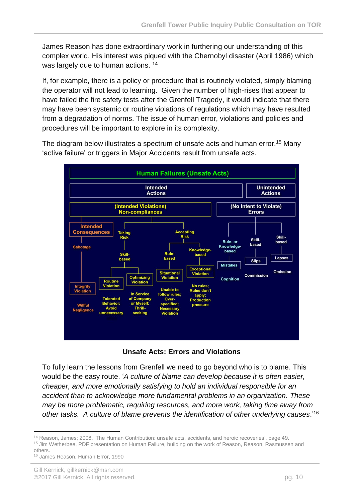James Reason has done extraordinary work in furthering our understanding of this complex world. His interest was piqued with the Chernobyl disaster (April 1986) which was largely due to human actions. <sup>14</sup>

If, for example, there is a policy or procedure that is routinely violated, simply blaming the operator will not lead to learning. Given the number of high-rises that appear to have failed the fire safety tests after the Grenfell Tragedy, it would indicate that there may have been systemic or routine violations of regulations which may have resulted from a degradation of norms. The issue of human error, violations and policies and procedures will be important to explore in its complexity.

The diagram below illustrates a spectrum of unsafe acts and human error.<sup>15</sup> Many 'active failure' or triggers in Major Accidents result from unsafe acts.



**Unsafe Acts: Errors and Violations**

To fully learn the lessons from Grenfell we need to go beyond who is to blame. This would be the easy route. '*A culture of blame can develop because it is often easier, cheaper, and more emotionally satisfying to hold an individual responsible for an accident than to acknowledge more fundamental problems in an organization. These may be more problematic, requiring resources, and more work, taking time away from other tasks. A culture of blame prevents the identification of other underlying causes*.' 16

<sup>1</sup> <sup>14</sup> Reason, James; 2008, 'The Human Contribution: unsafe acts, accidents, and heroic recoveries', page 49. <sup>15</sup> Jim Wetherbee, PDF presentation on Human Failure, building on the work of Reason, Reason, Rasmussen and others.

<sup>16</sup> James Reason, Human Error, 1990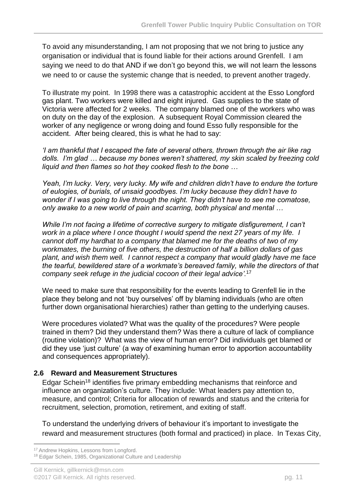To avoid any misunderstanding, I am not proposing that we not bring to justice any organisation or individual that is found liable for their actions around Grenfell. I am saying we need to do that AND if we don't go beyond this, we will not learn the lessons we need to or cause the systemic change that is needed, to prevent another tragedy.

To illustrate my point. In 1998 there was a catastrophic accident at the Esso Longford gas plant. Two workers were killed and eight injured. Gas supplies to the state of Victoria were affected for 2 weeks. The company blamed one of the workers who was on duty on the day of the explosion. A subsequent Royal Commission cleared the worker of any negligence or wrong doing and found Esso fully responsible for the accident. After being cleared, this is what he had to say:

*'I am thankful that I escaped the fate of several others, thrown through the air like rag dolls. I'm glad … because my bones weren't shattered, my skin scaled by freezing cold liquid and then flames so hot they cooked flesh to the bone …*

*Yeah, I'm lucky. Very, very lucky. My wife and children didn't have to endure the torture of eulogies, of burials, of unsaid goodbyes. I'm lucky because they didn't have to wonder if I was going to live through the night. They didn't have to see me comatose, only awake to a new world of pain and scarring, both physical and mental …*

*While I'm not facing a lifetime of corrective surgery to mitigate disfigurement, I can't work in a place where I once thought I would spend the next 27 years of my life. I cannot doff my hardhat to a company that blamed me for the deaths of two of my workmates, the burning of five others, the destruction of half a billion dollars of gas plant, and wish them well. I cannot respect a company that would gladly have me face the tearful, bewildered stare of a workmate's bereaved family, while the directors of that company seek refuge in the judicial cocoon of their legal advice'.*<sup>17</sup>

We need to make sure that responsibility for the events leading to Grenfell lie in the place they belong and not 'buy ourselves' off by blaming individuals (who are often further down organisational hierarchies) rather than getting to the underlying causes.

Were procedures violated? What was the quality of the procedures? Were people trained in them? Did they understand them? Was there a culture of lack of compliance (routine violation)? What was the view of human error? Did individuals get blamed or did they use 'just culture' (a way of examining human error to apportion accountability and consequences appropriately).

### <span id="page-12-0"></span>**2.6 Reward and Measurement Structures**

Edgar Schein<sup>18</sup> identifies five primary embedding mechanisms that reinforce and influence an organization's culture. They include: What leaders pay attention to, measure, and control; Criteria for allocation of rewards and status and the criteria for recruitment, selection, promotion, retirement, and exiting of staff.

To understand the underlying drivers of behaviour it's important to investigate the reward and measurement structures (both formal and practiced) in place. In Texas City,

**.** <sup>17</sup> Andrew Hopkins, Lessons from Longford.

<sup>18</sup> Edgar Schein, 1985, Organizational Culture and Leadership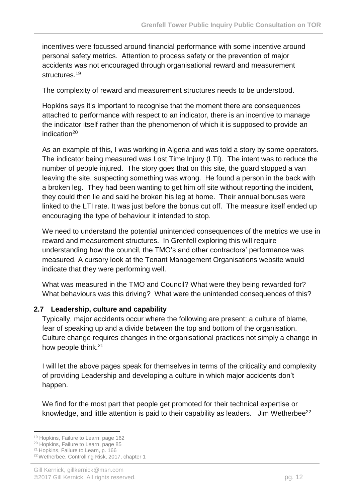incentives were focussed around financial performance with some incentive around personal safety metrics. Attention to process safety or the prevention of major accidents was not encouraged through organisational reward and measurement structures.<sup>19</sup>

The complexity of reward and measurement structures needs to be understood.

Hopkins says it's important to recognise that the moment there are consequences attached to performance with respect to an indicator, there is an incentive to manage the indicator itself rather than the phenomenon of which it is supposed to provide an indication<sup>20</sup>

As an example of this, I was working in Algeria and was told a story by some operators. The indicator being measured was Lost Time Injury (LTI). The intent was to reduce the number of people injured. The story goes that on this site, the guard stopped a van leaving the site, suspecting something was wrong. He found a person in the back with a broken leg. They had been wanting to get him off site without reporting the incident, they could then lie and said he broken his leg at home. Their annual bonuses were linked to the LTI rate. It was just before the bonus cut off. The measure itself ended up encouraging the type of behaviour it intended to stop.

We need to understand the potential unintended consequences of the metrics we use in reward and measurement structures. In Grenfell exploring this will require understanding how the council, the TMO's and other contractors' performance was measured. A cursory look at the Tenant Management Organisations website would indicate that they were performing well.

What was measured in the TMO and Council? What were they being rewarded for? What behaviours was this driving? What were the unintended consequences of this?

#### <span id="page-13-0"></span>**2.7 Leadership, culture and capability**

Typically, major accidents occur where the following are present: a culture of blame, fear of speaking up and a divide between the top and bottom of the organisation. Culture change requires changes in the organisational practices not simply a change in how people think.<sup>21</sup>

I will let the above pages speak for themselves in terms of the criticality and complexity of providing Leadership and developing a culture in which major accidents don't happen.

We find for the most part that people get promoted for their technical expertise or knowledge, and little attention is paid to their capability as leaders. Jim Wetherbee<sup>22</sup>

<sup>1</sup> 19 Hopkins, Failure to Learn, page 162

<sup>20</sup> Hopkins, Failure to Learn, page 85

<sup>21</sup> Hopkins, Failure to Learn, p. 166

<sup>22</sup> Wetherbee, Controlling Risk, 2017, chapter 1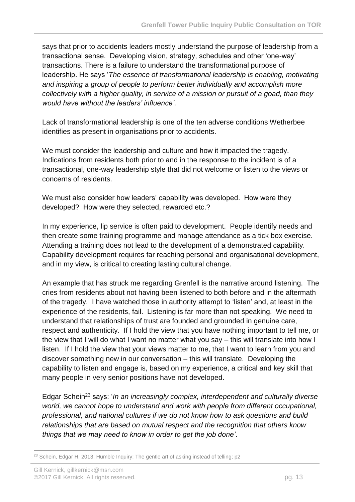says that prior to accidents leaders mostly understand the purpose of leadership from a transactional sense. Developing vision, strategy, schedules and other 'one-way' transactions. There is a failure to understand the transformational purpose of leadership. He says '*The essence of transformational leadership is enabling, motivating and inspiring a group of people to perform better individually and accomplish more collectively with a higher quality, in service of a mission or pursuit of a goad, than they would have without the leaders' influence'*.

Lack of transformational leadership is one of the ten adverse conditions Wetherbee identifies as present in organisations prior to accidents.

We must consider the leadership and culture and how it impacted the tragedy. Indications from residents both prior to and in the response to the incident is of a transactional, one-way leadership style that did not welcome or listen to the views or concerns of residents.

We must also consider how leaders' capability was developed. How were they developed? How were they selected, rewarded etc.?

In my experience, lip service is often paid to development. People identify needs and then create some training programme and manage attendance as a tick box exercise. Attending a training does not lead to the development of a demonstrated capability. Capability development requires far reaching personal and organisational development, and in my view, is critical to creating lasting cultural change.

An example that has struck me regarding Grenfell is the narrative around listening. The cries from residents about not having been listened to both before and in the aftermath of the tragedy. I have watched those in authority attempt to 'listen' and, at least in the experience of the residents, fail. Listening is far more than not speaking. We need to understand that relationships of trust are founded and grounded in genuine care, respect and authenticity. If I hold the view that you have nothing important to tell me, or the view that I will do what I want no matter what you say – this will translate into how I listen. If I hold the view that your views matter to me, that I want to learn from you and discover something new in our conversation – this will translate. Developing the capability to listen and engage is, based on my experience, a critical and key skill that many people in very senior positions have not developed.

Edgar Schein<sup>23</sup> says: '*In an increasingly complex, interdependent and culturally diverse world, we cannot hope to understand and work with people from different occupational, professional, and national cultures if we do not know how to ask questions and build relationships that are based on mutual respect and the recognition that others know things that we may need to know in order to get the job done'*.

<sup>1</sup> <sup>23</sup> Schein, Edgar H, 2013; Humble Inquiry: The gentle art of asking instead of telling; p2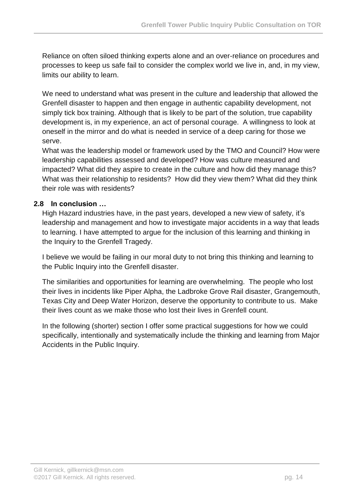Reliance on often siloed thinking experts alone and an over-reliance on procedures and processes to keep us safe fail to consider the complex world we live in, and, in my view, limits our ability to learn.

We need to understand what was present in the culture and leadership that allowed the Grenfell disaster to happen and then engage in authentic capability development, not simply tick box training. Although that is likely to be part of the solution, true capability development is, in my experience, an act of personal courage. A willingness to look at oneself in the mirror and do what is needed in service of a deep caring for those we serve.

What was the leadership model or framework used by the TMO and Council? How were leadership capabilities assessed and developed? How was culture measured and impacted? What did they aspire to create in the culture and how did they manage this? What was their relationship to residents? How did they view them? What did they think their role was with residents?

### <span id="page-15-0"></span>**2.8 In conclusion …**

High Hazard industries have, in the past years, developed a new view of safety, it's leadership and management and how to investigate major accidents in a way that leads to learning. I have attempted to argue for the inclusion of this learning and thinking in the Inquiry to the Grenfell Tragedy.

I believe we would be failing in our moral duty to not bring this thinking and learning to the Public Inquiry into the Grenfell disaster.

The similarities and opportunities for learning are overwhelming. The people who lost their lives in incidents like Piper Alpha, the Ladbroke Grove Rail disaster, Grangemouth, Texas City and Deep Water Horizon, deserve the opportunity to contribute to us. Make their lives count as we make those who lost their lives in Grenfell count.

In the following (shorter) section I offer some practical suggestions for how we could specifically, intentionally and systematically include the thinking and learning from Major Accidents in the Public Inquiry.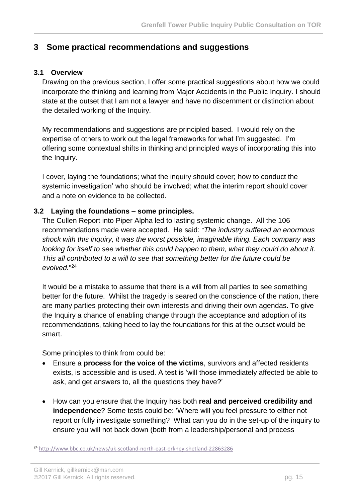### <span id="page-16-0"></span>**3 Some practical recommendations and suggestions**

#### <span id="page-16-1"></span>**3.1 Overview**

Drawing on the previous section, I offer some practical suggestions about how we could incorporate the thinking and learning from Major Accidents in the Public Inquiry. I should state at the outset that I am not a lawyer and have no discernment or distinction about the detailed working of the Inquiry.

My recommendations and suggestions are principled based. I would rely on the expertise of others to work out the legal frameworks for what I'm suggested. I'm offering some contextual shifts in thinking and principled ways of incorporating this into the Inquiry.

I cover, laying the foundations; what the inquiry should cover; how to conduct the systemic investigation' who should be involved; what the interim report should cover and a note on evidence to be collected.

#### <span id="page-16-2"></span>**3.2 Laying the foundations – some principles.**

The Cullen Report into Piper Alpha led to lasting systemic change. All the 106 recommendations made were accepted. He said: *"The industry suffered an enormous shock with this inquiry, it was the worst possible, imaginable thing. Each company was looking for itself to see whether this could happen to them, what they could do about it. This all contributed to a will to see that something better for the future could be evolved.*" 24

It would be a mistake to assume that there is a will from all parties to see something better for the future. Whilst the tragedy is seared on the conscience of the nation, there are many parties protecting their own interests and driving their own agendas. To give the Inquiry a chance of enabling change through the acceptance and adoption of its recommendations, taking heed to lay the foundations for this at the outset would be smart.

Some principles to think from could be:

- Ensure a **process for the voice of the victims**, survivors and affected residents exists, is accessible and is used. A test is 'will those immediately affected be able to ask, and get answers to, all the questions they have?'
- How can you ensure that the Inquiry has both **real and perceived credibility and independence**? Some tests could be: 'Where will you feel pressure to either not report or fully investigate something? What can you do in the set-up of the inquiry to ensure you will not back down (both from a leadership/personal and process

**.** 

<sup>24</sup> <http://www.bbc.co.uk/news/uk-scotland-north-east-orkney-shetland-22863286>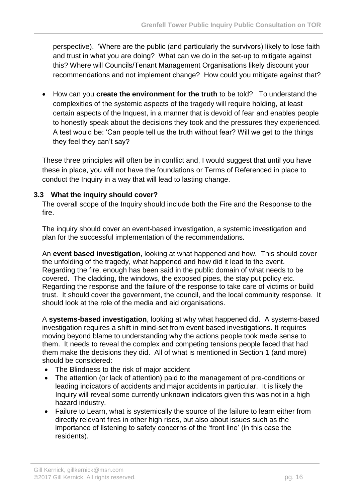perspective). 'Where are the public (and particularly the survivors) likely to lose faith and trust in what you are doing? What can we do in the set-up to mitigate against this? Where will Councils/Tenant Management Organisations likely discount your recommendations and not implement change? How could you mitigate against that?

• How can you **create the environment for the truth** to be told? To understand the complexities of the systemic aspects of the tragedy will require holding, at least certain aspects of the Inquest, in a manner that is devoid of fear and enables people to honestly speak about the decisions they took and the pressures they experienced. A test would be: 'Can people tell us the truth without fear? Will we get to the things they feel they can't say?

These three principles will often be in conflict and, I would suggest that until you have these in place, you will not have the foundations or Terms of Referenced in place to conduct the Inquiry in a way that will lead to lasting change.

### <span id="page-17-0"></span>**3.3 What the inquiry should cover?**

The overall scope of the Inquiry should include both the Fire and the Response to the fire.

The inquiry should cover an event-based investigation, a systemic investigation and plan for the successful implementation of the recommendations.

An **event based investigation**, looking at what happened and how. This should cover the unfolding of the tragedy, what happened and how did it lead to the event. Regarding the fire, enough has been said in the public domain of what needs to be covered. The cladding, the windows, the exposed pipes, the stay put policy etc. Regarding the response and the failure of the response to take care of victims or build trust. It should cover the government, the council, and the local community response. It should look at the role of the media and aid organisations.

A **systems-based investigation**, looking at why what happened did. A systems-based investigation requires a shift in mind-set from event based investigations. It requires moving beyond blame to understanding why the actions people took made sense to them. It needs to reveal the complex and competing tensions people faced that had them make the decisions they did. All of what is mentioned in Section 1 (and more) should be considered:

- The Blindness to the risk of major accident
- The attention (or lack of attention) paid to the management of pre-conditions or leading indicators of accidents and major accidents in particular. It is likely the Inquiry will reveal some currently unknown indicators given this was not in a high hazard industry.
- Failure to Learn, what is systemically the source of the failure to learn either from directly relevant fires in other high rises, but also about issues such as the importance of listening to safety concerns of the 'front line' (in this case the residents).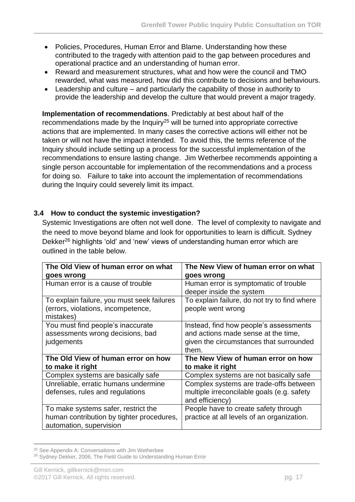- Policies, Procedures, Human Error and Blame. Understanding how these contributed to the tragedy with attention paid to the gap between procedures and operational practice and an understanding of human error.
- Reward and measurement structures, what and how were the council and TMO rewarded, what was measured, how did this contribute to decisions and behaviours.
- Leadership and culture and particularly the capability of those in authority to provide the leadership and develop the culture that would prevent a major tragedy.

**Implementation of recommendations**. Predictably at best about half of the recommendations made by the Inquiry<sup>25</sup> will be turned into appropriate corrective actions that are implemented. In many cases the corrective actions will either not be taken or will not have the impact intended. To avoid this, the terms reference of the Inquiry should include setting up a process for the successful implementation of the recommendations to ensure lasting change. Jim Wetherbee recommends appointing a single person accountable for implementation of the recommendations and a process for doing so. Failure to take into account the implementation of recommendations during the Inquiry could severely limit its impact.

### <span id="page-18-0"></span>**3.4 How to conduct the systemic investigation?**

Systemic Investigations are often not well done. The level of complexity to navigate and the need to move beyond blame and look for opportunities to learn is difficult. Sydney Dekker<sup>26</sup> highlights 'old' and 'new' views of understanding human error which are outlined in the table below.

| The Old View of human error on what             | The New View of human error on what                 |
|-------------------------------------------------|-----------------------------------------------------|
| goes wrong<br>Human error is a cause of trouble | goes wrong<br>Human error is symptomatic of trouble |
|                                                 | deeper inside the system                            |
| To explain failure, you must seek failures      | To explain failure, do not try to find where        |
| (errors, violations, incompetence,<br>mistakes) | people went wrong                                   |
| You must find people's inaccurate               | Instead, find how people's assessments              |
| assessments wrong decisions, bad                | and actions made sense at the time,                 |
| judgements                                      | given the circumstances that surrounded             |
|                                                 | them.                                               |
| The Old View of human error on how              | The New View of human error on how                  |
| to make it right                                | to make it right                                    |
| Complex systems are basically safe              | Complex systems are not basically safe              |
| Unreliable, erratic humans undermine            | Complex systems are trade-offs between              |
| defenses, rules and regulations                 | multiple irreconcilable goals (e.g. safety          |
|                                                 | and efficiency)                                     |
| To make systems safer, restrict the             | People have to create safety through                |
| human contribution by tighter procedures,       | practice at all levels of an organization.          |
| automation, supervision                         |                                                     |

**<sup>.</sup>** <sup>25</sup> See Appendix A: Conversations with Jim Wetherbee

<sup>&</sup>lt;sup>26</sup> Sydney Dekker, 2006, The Field Guide to Understanding Human Error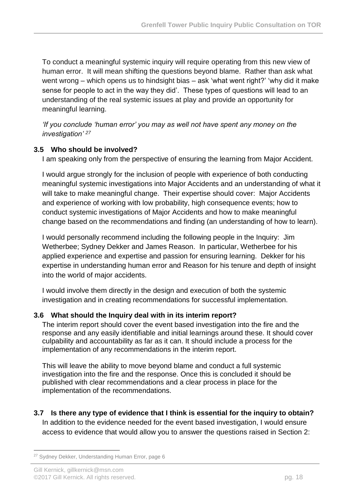To conduct a meaningful systemic inquiry will require operating from this new view of human error. It will mean shifting the questions beyond blame. Rather than ask what went wrong – which opens us to hindsight bias – ask 'what went right?' 'why did it make sense for people to act in the way they did'. These types of questions will lead to an understanding of the real systemic issues at play and provide an opportunity for meaningful learning.

*'If you conclude 'human error' you may as well not have spent any money on the investigation' <sup>27</sup>*

### <span id="page-19-0"></span>**3.5 Who should be involved?**

I am speaking only from the perspective of ensuring the learning from Major Accident.

I would argue strongly for the inclusion of people with experience of both conducting meaningful systemic investigations into Major Accidents and an understanding of what it will take to make meaningful change. Their expertise should cover: Major Accidents and experience of working with low probability, high consequence events; how to conduct systemic investigations of Major Accidents and how to make meaningful change based on the recommendations and finding (an understanding of how to learn).

I would personally recommend including the following people in the Inquiry: Jim Wetherbee; Sydney Dekker and James Reason. In particular, Wetherbee for his applied experience and expertise and passion for ensuring learning. Dekker for his expertise in understanding human error and Reason for his tenure and depth of insight into the world of major accidents.

I would involve them directly in the design and execution of both the systemic investigation and in creating recommendations for successful implementation.

### <span id="page-19-1"></span>**3.6 What should the Inquiry deal with in its interim report?**

The interim report should cover the event based investigation into the fire and the response and any easily identifiable and initial learnings around these. It should cover culpability and accountability as far as it can. It should include a process for the implementation of any recommendations in the interim report.

This will leave the ability to move beyond blame and conduct a full systemic investigation into the fire and the response. Once this is concluded it should be published with clear recommendations and a clear process in place for the implementation of the recommendations.

<span id="page-19-2"></span>**3.7 Is there any type of evidence that I think is essential for the inquiry to obtain?** In addition to the evidence needed for the event based investigation, I would ensure access to evidence that would allow you to answer the questions raised in Section 2:

1

<sup>&</sup>lt;sup>27</sup> Sydney Dekker, Understanding Human Error, page 6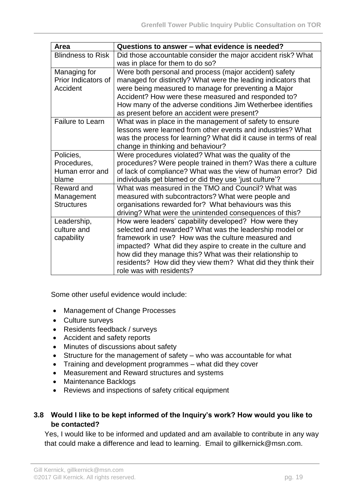| Area                                | Questions to answer – what evidence is needed?                                                                          |
|-------------------------------------|-------------------------------------------------------------------------------------------------------------------------|
| <b>Blindness to Risk</b>            | Did those accountable consider the major accident risk? What                                                            |
|                                     | was in place for them to do so?                                                                                         |
| Managing for<br>Prior Indicators of | Were both personal and process (major accident) safety<br>managed for distinctly? What were the leading indicators that |
| Accident                            | were being measured to manage for preventing a Major                                                                    |
|                                     | Accident? How were these measured and responded to?                                                                     |
|                                     | How many of the adverse conditions Jim Wetherbee identifies<br>as present before an accident were present?              |
| <b>Failure to Learn</b>             | What was in place in the management of safety to ensure                                                                 |
|                                     | lessons were learned from other events and industries? What                                                             |
|                                     | was the process for learning? What did it cause in terms of real                                                        |
|                                     | change in thinking and behaviour?                                                                                       |
| Policies,                           | Were procedures violated? What was the quality of the                                                                   |
| Procedures,                         | procedures? Were people trained in them? Was there a culture                                                            |
| Human error and                     | of lack of compliance? What was the view of human error? Did                                                            |
| blame                               | individuals get blamed or did they use 'just culture'?                                                                  |
| Reward and                          | What was measured in the TMO and Council? What was                                                                      |
| Management                          | measured with subcontractors? What were people and                                                                      |
| <b>Structures</b>                   | organisations rewarded for? What behaviours was this                                                                    |
|                                     | driving? What were the unintended consequences of this?                                                                 |
| Leadership,                         | How were leaders' capability developed? How were they                                                                   |
| culture and                         | selected and rewarded? What was the leadership model or                                                                 |
| capability                          | framework in use? How was the culture measured and                                                                      |
|                                     | impacted? What did they aspire to create in the culture and                                                             |
|                                     | how did they manage this? What was their relationship to                                                                |
|                                     | residents? How did they view them? What did they think their                                                            |
|                                     | role was with residents?                                                                                                |

Some other useful evidence would include:

- Management of Change Processes
- Culture surveys
- Residents feedback / surveys
- Accident and safety reports
- Minutes of discussions about safety
- Structure for the management of safety who was accountable for what
- Training and development programmes what did they cover
- Measurement and Reward structures and systems
- Maintenance Backlogs
- Reviews and inspections of safety critical equipment

#### <span id="page-20-0"></span>**3.8 Would I like to be kept informed of the Inquiry's work? How would you like to be contacted?**

Yes, I would like to be informed and updated and am available to contribute in any way that could make a difference and lead to learning. Email to gillkernick@msn.com.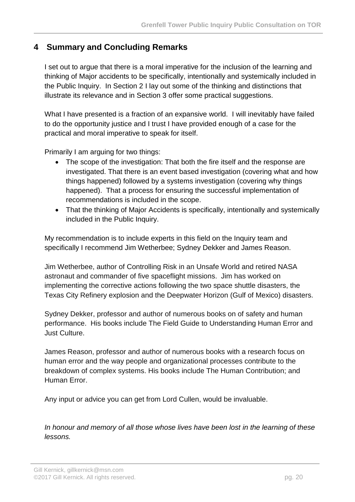### <span id="page-21-0"></span>**4 Summary and Concluding Remarks**

I set out to argue that there is a moral imperative for the inclusion of the learning and thinking of Major accidents to be specifically, intentionally and systemically included in the Public Inquiry. In Section 2 I lay out some of the thinking and distinctions that illustrate its relevance and in Section 3 offer some practical suggestions.

What I have presented is a fraction of an expansive world. I will inevitably have failed to do the opportunity justice and I trust I have provided enough of a case for the practical and moral imperative to speak for itself.

Primarily I am arguing for two things:

- The scope of the investigation: That both the fire itself and the response are investigated. That there is an event based investigation (covering what and how things happened) followed by a systems investigation (covering why things happened). That a process for ensuring the successful implementation of recommendations is included in the scope.
- That the thinking of Major Accidents is specifically, intentionally and systemically included in the Public Inquiry.

My recommendation is to include experts in this field on the Inquiry team and specifically I recommend Jim Wetherbee; Sydney Dekker and James Reason.

Jim Wetherbee, author of Controlling Risk in an Unsafe World and retired NASA astronaut and commander of five spaceflight missions. Jim has worked on implementing the corrective actions following the two space shuttle disasters, the Texas City Refinery explosion and the Deepwater Horizon (Gulf of Mexico) disasters.

Sydney Dekker, professor and author of numerous books on of safety and human performance. His books include The Field Guide to Understanding Human Error and Just Culture.

James Reason, professor and author of numerous books with a research focus on human error and the way people and organizational processes contribute to the breakdown of complex systems. His books include The Human Contribution; and Human Error.

Any input or advice you can get from Lord Cullen, would be invaluable.

*In honour and memory of all those whose lives have been lost in the learning of these lessons.*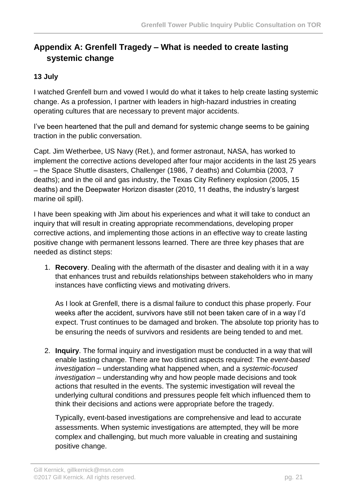# <span id="page-22-0"></span>**Appendix A: Grenfell Tragedy – What is needed to create lasting systemic change**

### **13 July**

I watched Grenfell burn and vowed I would do what it takes to help create lasting systemic change. As a profession, I partner with leaders in high-hazard industries in creating operating cultures that are necessary to prevent major accidents.

I've been heartened that the pull and demand for systemic change seems to be gaining traction in the public conversation.

Capt. Jim Wetherbee, US Navy (Ret.), and former astronaut, NASA, has worked to implement the corrective actions developed after four major accidents in the last 25 years – the Space Shuttle disasters, Challenger (1986, 7 deaths) and Columbia (2003, 7 deaths); and in the oil and gas industry, the Texas City Refinery explosion (2005, 15 deaths) and the Deepwater Horizon disaster (2010, 11 deaths, the industry's largest marine oil spill).

I have been speaking with Jim about his experiences and what it will take to conduct an inquiry that will result in creating appropriate recommendations, developing proper corrective actions, and implementing those actions in an effective way to create lasting positive change with permanent lessons learned. There are three key phases that are needed as distinct steps:

1. **Recovery**. Dealing with the aftermath of the disaster and dealing with it in a way that enhances trust and rebuilds relationships between stakeholders who in many instances have conflicting views and motivating drivers.

As I look at Grenfell, there is a dismal failure to conduct this phase properly. Four weeks after the accident, survivors have still not been taken care of in a way I'd expect. Trust continues to be damaged and broken. The absolute top priority has to be ensuring the needs of survivors and residents are being tended to and met.

2. **Inquiry**. The formal inquiry and investigation must be conducted in a way that will enable lasting change. There are two distinct aspects required: The *event-based investigation* – understanding what happened when, and a *systemic-focused investigation* – understanding why and how people made decisions and took actions that resulted in the events. The systemic investigation will reveal the underlying cultural conditions and pressures people felt which influenced them to think their decisions and actions were appropriate before the tragedy.

Typically, event-based investigations are comprehensive and lead to accurate assessments. When systemic investigations are attempted, they will be more complex and challenging, but much more valuable in creating and sustaining positive change.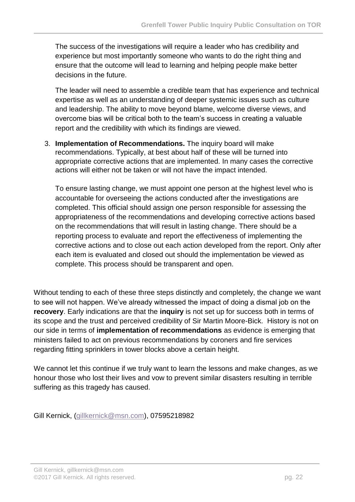The success of the investigations will require a leader who has credibility and experience but most importantly someone who wants to do the right thing and ensure that the outcome will lead to learning and helping people make better decisions in the future.

The leader will need to assemble a credible team that has experience and technical expertise as well as an understanding of deeper systemic issues such as culture and leadership. The ability to move beyond blame, welcome diverse views, and overcome bias will be critical both to the team's success in creating a valuable report and the credibility with which its findings are viewed.

3. **Implementation of Recommendations.** The inquiry board will make recommendations. Typically, at best about half of these will be turned into appropriate corrective actions that are implemented. In many cases the corrective actions will either not be taken or will not have the impact intended.

To ensure lasting change, we must appoint one person at the highest level who is accountable for overseeing the actions conducted after the investigations are completed. This official should assign one person responsible for assessing the appropriateness of the recommendations and developing corrective actions based on the recommendations that will result in lasting change. There should be a reporting process to evaluate and report the effectiveness of implementing the corrective actions and to close out each action developed from the report. Only after each item is evaluated and closed out should the implementation be viewed as complete. This process should be transparent and open.

Without tending to each of these three steps distinctly and completely, the change we want to see will not happen. We've already witnessed the impact of doing a dismal job on the **recovery**. Early indications are that the **inquiry** is not set up for success both in terms of its scope and the trust and perceived credibility of Sir Martin Moore-Bick. History is not on our side in terms of **implementation of recommendations** as evidence is emerging that ministers failed to act on previous recommendations by coroners and fire services regarding fitting sprinklers in tower blocks above a certain height.

We cannot let this continue if we truly want to learn the lessons and make changes, as we honour those who lost their lives and vow to prevent similar disasters resulting in terrible suffering as this tragedy has caused.

Gill Kernick, [\(gillkernick@msn.com\)](mailto:gillkernick@msn.com), 07595218982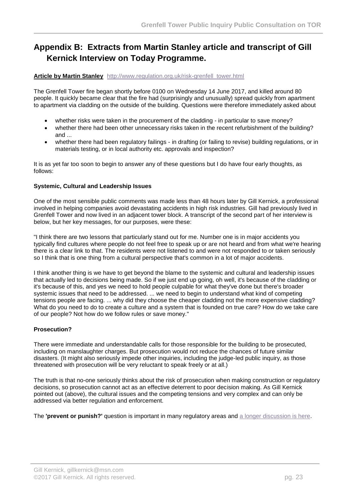# <span id="page-24-0"></span>**Appendix B: Extracts from Martin Stanley article and transcript of Gill Kernick Interview on Today Programme.**

#### **Article by Martin Stanley** [http://www.regulation.org.uk/risk-grenfell\\_tower.html](http://www.regulation.org.uk/risk-grenfell_tower.html)

The Grenfell Tower fire began shortly before 0100 on Wednesday 14 June 2017, and killed around 80 people. It quickly became clear that the fire had (surprisingly and unusually) spread quickly from apartment to apartment via cladding on the outside of the building. Questions were therefore immediately asked about

- whether risks were taken in the procurement of the cladding in particular to save money?
- whether there had been other unnecessary risks taken in the recent refurbishment of the building? and ...
- whether there had been regulatory failings in drafting (or failing to revise) building regulations, or in materials testing, or in local authority etc. approvals and inspection?

It is as yet far too soon to begin to answer any of these questions but I do have four early thoughts, as follows:

#### **Systemic, Cultural and Leadership Issues**

One of the most sensible public comments was made less than 48 hours later by Gill Kernick, a professional involved in helping companies avoid devastating accidents in high risk industries. Gill had previously lived in Grenfell Tower and now lived in an adjacent tower block. A transcript of the second part of her interview is below, but her key messages, for our purposes, were these:

"I think there are two lessons that particularly stand out for me. Number one is in major accidents you typically find cultures where people do not feel free to speak up or are not heard and from what we're hearing there is a clear link to that. The residents were not listened to and were not responded to or taken seriously so I think that is one thing from a cultural perspective that's common in a lot of major accidents.

I think another thing is we have to get beyond the blame to the systemic and cultural and leadership issues that actually led to decisions being made. So if we just end up going, oh well, it's because of the cladding or it's because of this, and yes we need to hold people culpable for what they've done but there's broader systemic issues that need to be addressed. ... we need to begin to understand what kind of competing tensions people are facing. ... why did they choose the cheaper cladding not the more expensive cladding? What do you need to do to create a culture and a system that is founded on true care? How do we take care of our people? Not how do we follow rules or save money."

#### **Prosecution?**

There were immediate and understandable calls for those responsible for the building to be prosecuted, including on manslaughter charges. But prosecution would not reduce the chances of future similar disasters. (It might also seriously impede other inquiries, including the judge-led public inquiry, as those threatened with prosecution will be very reluctant to speak freely or at all.)

The truth is that no-one seriously thinks about the risk of prosecution when making construction or regulatory decisions, so prosecution cannot act as an effective deterrent to poor decision making. As Gill Kernick pointed out (above), the cultural issues and the competing tensions and very complex and can only be addressed via better regulation and enforcement.

The **'prevent or punish?'** question is important in many regulatory areas and [a longer discussion is here.](http://www.regulation.org.uk/key_issues-prevent_or_punish.html)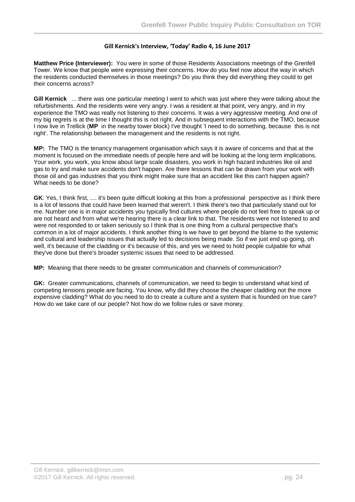#### **Gill Kernick's Interview, 'Today' Radio 4, 16 June 2017**

**Matthew Price (Interviewer):** You were in some of those Residents Associations meetings of the Grenfell Tower. We know that people were expressing their concerns. How do you feel now about the way in which the residents conducted themselves in those meetings? Do you think they did everything they could to get their concerns across?

**Gill Kernick** ... there was one particular meeting I went to which was just where they were talking about the refurbishments. And the residents were very angry. I was a resident at that point, very angry, and in my experience the TMO was really not listening to their concerns. It was a very aggressive meeting. And one of my big regrets is at the time I thought this is not right. And in subsequent interactions with the TMO, because I now live in Trellick (**MP** in the nearby tower block) I've thought 'I need to do something, because this is not right'. The relationship between the management and the residents is not right.

**MP:** The TMO is the tenancy management organisation which says it is aware of concerns and that at the moment is focused on the immediate needs of people here and will be looking at the long term implications. Your work, you work, you know about large scale disasters, you work in high hazard industries like oil and gas to try and make sure accidents don't happen. Are there lessons that can be drawn from your work with those oil and gas industries that you think might make sure that an accident like this can't happen again? What needs to be done?

**GK**: Yes, I think first, .... it's been quite difficult looking at this from a professional perspective as I think there is a lot of lessons that could have been learned that weren't. I think there's two that particularly stand out for me. Number one is in major accidents you typically find cultures where people do not feel free to speak up or are not heard and from what we're hearing there is a clear link to that. The residents were not listened to and were not responded to or taken seriously so I think that is one thing from a cultural perspective that's common in a lot of major accidents. I think another thing is we have to get beyond the blame to the systemic and cultural and leadership issues that actually led to decisions being made. So if we just end up going, oh well, it's because of the cladding or it's because of this, and yes we need to hold people culpable for what they've done but there's broader systemic issues that need to be addressed.

**MP:** Meaning that there needs to be greater communication and channels of communication?

**GK:** Greater communications, channels of communication, we need to begin to understand what kind of competing tensions people are facing. You know, why did they choose the cheaper cladding not the more expensive cladding? What do you need to do to create a culture and a system that is founded on true care? How do we take care of our people? Not how do we follow rules or save money.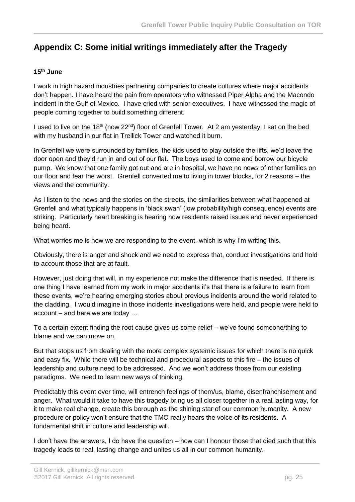## <span id="page-26-0"></span>**Appendix C: Some initial writings immediately after the Tragedy**

#### **15th June**

I work in high hazard industries partnering companies to create cultures where major accidents don't happen. I have heard the pain from operators who witnessed Piper Alpha and the Macondo incident in the Gulf of Mexico. I have cried with senior executives. I have witnessed the magic of people coming together to build something different.

I used to live on the 18<sup>th</sup> (now 22<sup>nd</sup>) floor of Grenfell Tower. At 2 am yesterday, I sat on the bed with my husband in our flat in Trellick Tower and watched it burn.

In Grenfell we were surrounded by families, the kids used to play outside the lifts, we'd leave the door open and they'd run in and out of our flat. The boys used to come and borrow our bicycle pump. We know that one family got out and are in hospital, we have no news of other families on our floor and fear the worst. Grenfell converted me to living in tower blocks, for 2 reasons – the views and the community.

As I listen to the news and the stories on the streets, the similarities between what happened at Grenfell and what typically happens in 'black swan' (low probability/high consequence) events are striking. Particularly heart breaking is hearing how residents raised issues and never experienced being heard.

What worries me is how we are responding to the event, which is why I'm writing this.

Obviously, there is anger and shock and we need to express that, conduct investigations and hold to account those that are at fault.

However, just doing that will, in my experience not make the difference that is needed. If there is one thing I have learned from my work in major accidents it's that there is a failure to learn from these events, we're hearing emerging stories about previous incidents around the world related to the cladding. I would imagine in those incidents investigations were held, and people were held to account – and here we are today …

To a certain extent finding the root cause gives us some relief – we've found someone/thing to blame and we can move on.

But that stops us from dealing with the more complex systemic issues for which there is no quick and easy fix. While there will be technical and procedural aspects to this fire – the issues of leadership and culture need to be addressed. And we won't address those from our existing paradigms. We need to learn new ways of thinking.

Predictably this event over time, will entrench feelings of them/us, blame, disenfranchisement and anger. What would it take to have this tragedy bring us all closer together in a real lasting way, for it to make real change, create this borough as the shining star of our common humanity. A new procedure or policy won't ensure that the TMO really hears the voice of its residents. A fundamental shift in culture and leadership will.

I don't have the answers, I do have the question – how can I honour those that died such that this tragedy leads to real, lasting change and unites us all in our common humanity.